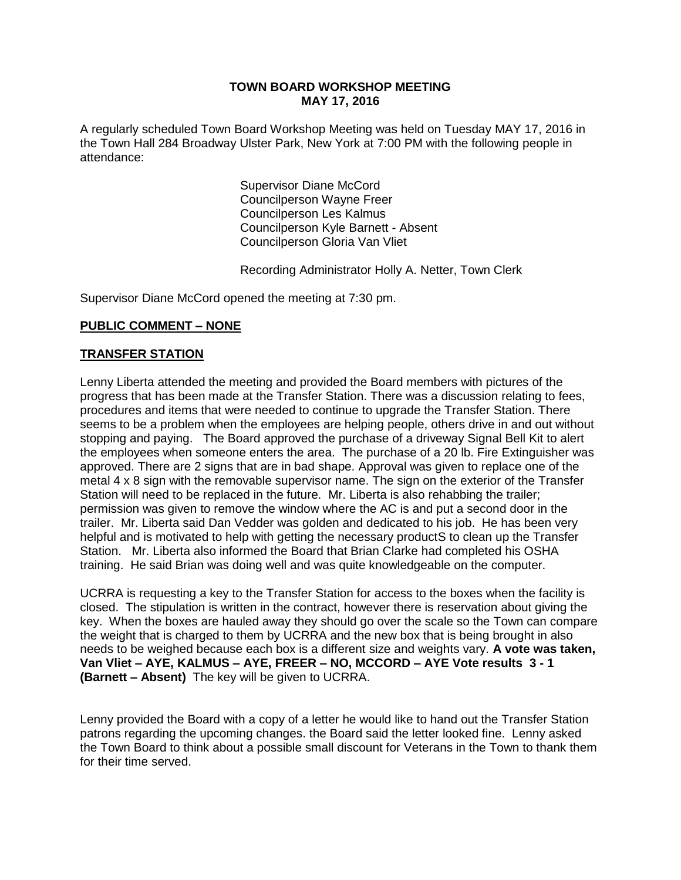#### **TOWN BOARD WORKSHOP MEETING MAY 17, 2016**

A regularly scheduled Town Board Workshop Meeting was held on Tuesday MAY 17, 2016 in the Town Hall 284 Broadway Ulster Park, New York at 7:00 PM with the following people in attendance:

> Supervisor Diane McCord Councilperson Wayne Freer Councilperson Les Kalmus Councilperson Kyle Barnett - Absent Councilperson Gloria Van Vliet

Recording Administrator Holly A. Netter, Town Clerk

Supervisor Diane McCord opened the meeting at 7:30 pm.

## **PUBLIC COMMENT – NONE**

## **TRANSFER STATION**

Lenny Liberta attended the meeting and provided the Board members with pictures of the progress that has been made at the Transfer Station. There was a discussion relating to fees, procedures and items that were needed to continue to upgrade the Transfer Station. There seems to be a problem when the employees are helping people, others drive in and out without stopping and paying. The Board approved the purchase of a driveway Signal Bell Kit to alert the employees when someone enters the area. The purchase of a 20 lb. Fire Extinguisher was approved. There are 2 signs that are in bad shape. Approval was given to replace one of the metal 4 x 8 sign with the removable supervisor name. The sign on the exterior of the Transfer Station will need to be replaced in the future. Mr. Liberta is also rehabbing the trailer; permission was given to remove the window where the AC is and put a second door in the trailer. Mr. Liberta said Dan Vedder was golden and dedicated to his job. He has been very helpful and is motivated to help with getting the necessary productS to clean up the Transfer Station. Mr. Liberta also informed the Board that Brian Clarke had completed his OSHA training. He said Brian was doing well and was quite knowledgeable on the computer.

UCRRA is requesting a key to the Transfer Station for access to the boxes when the facility is closed. The stipulation is written in the contract, however there is reservation about giving the key. When the boxes are hauled away they should go over the scale so the Town can compare the weight that is charged to them by UCRRA and the new box that is being brought in also needs to be weighed because each box is a different size and weights vary. **A vote was taken, Van Vliet – AYE, KALMUS – AYE, FREER – NO, MCCORD – AYE Vote results 3 - 1 (Barnett – Absent)** The key will be given to UCRRA.

Lenny provided the Board with a copy of a letter he would like to hand out the Transfer Station patrons regarding the upcoming changes. the Board said the letter looked fine. Lenny asked the Town Board to think about a possible small discount for Veterans in the Town to thank them for their time served.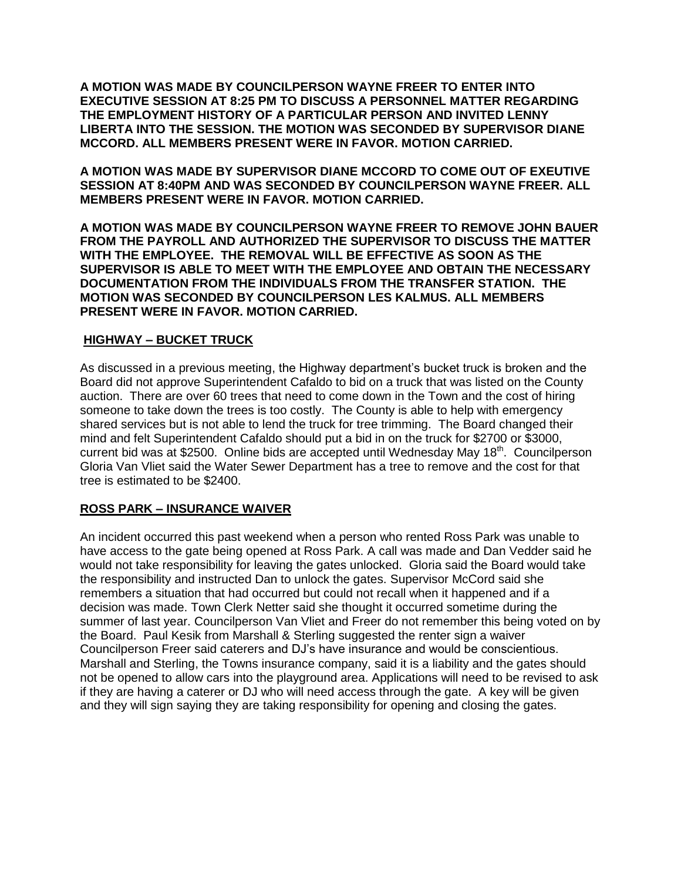**A MOTION WAS MADE BY COUNCILPERSON WAYNE FREER TO ENTER INTO EXECUTIVE SESSION AT 8:25 PM TO DISCUSS A PERSONNEL MATTER REGARDING THE EMPLOYMENT HISTORY OF A PARTICULAR PERSON AND INVITED LENNY LIBERTA INTO THE SESSION. THE MOTION WAS SECONDED BY SUPERVISOR DIANE MCCORD. ALL MEMBERS PRESENT WERE IN FAVOR. MOTION CARRIED.** 

**A MOTION WAS MADE BY SUPERVISOR DIANE MCCORD TO COME OUT OF EXEUTIVE SESSION AT 8:40PM AND WAS SECONDED BY COUNCILPERSON WAYNE FREER. ALL MEMBERS PRESENT WERE IN FAVOR. MOTION CARRIED.**

**A MOTION WAS MADE BY COUNCILPERSON WAYNE FREER TO REMOVE JOHN BAUER FROM THE PAYROLL AND AUTHORIZED THE SUPERVISOR TO DISCUSS THE MATTER WITH THE EMPLOYEE. THE REMOVAL WILL BE EFFECTIVE AS SOON AS THE SUPERVISOR IS ABLE TO MEET WITH THE EMPLOYEE AND OBTAIN THE NECESSARY DOCUMENTATION FROM THE INDIVIDUALS FROM THE TRANSFER STATION. THE MOTION WAS SECONDED BY COUNCILPERSON LES KALMUS. ALL MEMBERS PRESENT WERE IN FAVOR. MOTION CARRIED.**

## **HIGHWAY – BUCKET TRUCK**

As discussed in a previous meeting, the Highway department's bucket truck is broken and the Board did not approve Superintendent Cafaldo to bid on a truck that was listed on the County auction. There are over 60 trees that need to come down in the Town and the cost of hiring someone to take down the trees is too costly. The County is able to help with emergency shared services but is not able to lend the truck for tree trimming. The Board changed their mind and felt Superintendent Cafaldo should put a bid in on the truck for \$2700 or \$3000, current bid was at \$2500. Online bids are accepted until Wednesday May 18<sup>th</sup>. Councilperson Gloria Van Vliet said the Water Sewer Department has a tree to remove and the cost for that tree is estimated to be \$2400.

## **ROSS PARK – INSURANCE WAIVER**

An incident occurred this past weekend when a person who rented Ross Park was unable to have access to the gate being opened at Ross Park. A call was made and Dan Vedder said he would not take responsibility for leaving the gates unlocked. Gloria said the Board would take the responsibility and instructed Dan to unlock the gates. Supervisor McCord said she remembers a situation that had occurred but could not recall when it happened and if a decision was made. Town Clerk Netter said she thought it occurred sometime during the summer of last year. Councilperson Van Vliet and Freer do not remember this being voted on by the Board. Paul Kesik from Marshall & Sterling suggested the renter sign a waiver Councilperson Freer said caterers and DJ's have insurance and would be conscientious. Marshall and Sterling, the Towns insurance company, said it is a liability and the gates should not be opened to allow cars into the playground area. Applications will need to be revised to ask if they are having a caterer or DJ who will need access through the gate. A key will be given and they will sign saying they are taking responsibility for opening and closing the gates.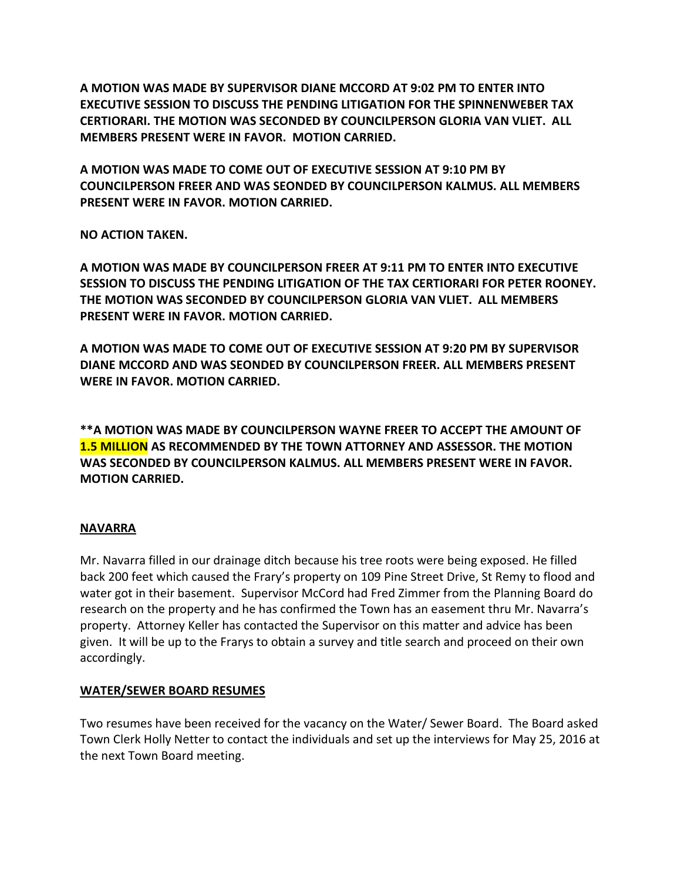**A MOTION WAS MADE BY SUPERVISOR DIANE MCCORD AT 9:02 PM TO ENTER INTO EXECUTIVE SESSION TO DISCUSS THE PENDING LITIGATION FOR THE SPINNENWEBER TAX CERTIORARI. THE MOTION WAS SECONDED BY COUNCILPERSON GLORIA VAN VLIET. ALL MEMBERS PRESENT WERE IN FAVOR. MOTION CARRIED.**

**A MOTION WAS MADE TO COME OUT OF EXECUTIVE SESSION AT 9:10 PM BY COUNCILPERSON FREER AND WAS SEONDED BY COUNCILPERSON KALMUS. ALL MEMBERS PRESENT WERE IN FAVOR. MOTION CARRIED.**

**NO ACTION TAKEN.**

**A MOTION WAS MADE BY COUNCILPERSON FREER AT 9:11 PM TO ENTER INTO EXECUTIVE SESSION TO DISCUSS THE PENDING LITIGATION OF THE TAX CERTIORARI FOR PETER ROONEY. THE MOTION WAS SECONDED BY COUNCILPERSON GLORIA VAN VLIET. ALL MEMBERS PRESENT WERE IN FAVOR. MOTION CARRIED.**

**A MOTION WAS MADE TO COME OUT OF EXECUTIVE SESSION AT 9:20 PM BY SUPERVISOR DIANE MCCORD AND WAS SEONDED BY COUNCILPERSON FREER. ALL MEMBERS PRESENT WERE IN FAVOR. MOTION CARRIED.**

**\*\*A MOTION WAS MADE BY COUNCILPERSON WAYNE FREER TO ACCEPT THE AMOUNT OF 1.5 MILLION AS RECOMMENDED BY THE TOWN ATTORNEY AND ASSESSOR. THE MOTION WAS SECONDED BY COUNCILPERSON KALMUS. ALL MEMBERS PRESENT WERE IN FAVOR. MOTION CARRIED.**

# **NAVARRA**

Mr. Navarra filled in our drainage ditch because his tree roots were being exposed. He filled back 200 feet which caused the Frary's property on 109 Pine Street Drive, St Remy to flood and water got in their basement. Supervisor McCord had Fred Zimmer from the Planning Board do research on the property and he has confirmed the Town has an easement thru Mr. Navarra's property. Attorney Keller has contacted the Supervisor on this matter and advice has been given. It will be up to the Frarys to obtain a survey and title search and proceed on their own accordingly.

## **WATER/SEWER BOARD RESUMES**

Two resumes have been received for the vacancy on the Water/ Sewer Board. The Board asked Town Clerk Holly Netter to contact the individuals and set up the interviews for May 25, 2016 at the next Town Board meeting.